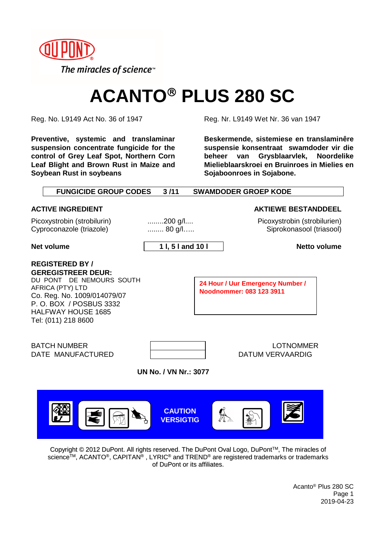

# **ACANTO PLUS 280 SC**

**Preventive, systemic and translaminar suspension concentrate fungicide for the control of Grey Leaf Spot, Northern Corn Leaf Blight and Brown Rust in Maize and Soybean Rust in soybeans**

Reg. No. L9149 Act No. 36 of 1947 Reg. Nr. L9149 Wet Nr. 36 van 1947

**Beskermende, sistemiese en translaminêre suspensie konsentraat swamdoder vir die beheer van Grysblaarvlek, Noordelike Mielieblaarskroei en Bruinroes in Mielies en Sojaboonroes in Sojabone.**

| <b>FUNGICIDE GROUP CODES</b>                                                                                                                                                                                     | 3/11                               |  | <b>SWAMDODER GROEP KODE</b>                                  |
|------------------------------------------------------------------------------------------------------------------------------------------------------------------------------------------------------------------|------------------------------------|--|--------------------------------------------------------------|
| <b>ACTIVE INGREDIENT</b>                                                                                                                                                                                         |                                    |  | <b>AKTIEWE BESTANDDEEL</b>                                   |
| Picoxystrobin (strobilurin)<br>Cyproconazole (triazole)                                                                                                                                                          | $200$ g/l<br>80 g/l                |  | Picoxystrobin (strobilurien)<br>Siprokonasool (triasool)     |
| <b>Net volume</b>                                                                                                                                                                                                | 11, 51 and 101                     |  | <b>Netto volume</b>                                          |
| <b>REGISTERED BY/</b><br><b>GEREGISTREER DEUR:</b><br>DU PONT DE NEMOURS SOUTH<br>AFRICA (PTY) LTD<br>Co. Reg. No. 1009/014079/07<br>P. O. BOX / POSBUS 3332<br><b>HALFWAY HOUSE 1685</b><br>Tel: (011) 218 8600 |                                    |  | 24 Hour / Uur Emergency Number /<br>Noodnommer: 083 123 3911 |
| <b>BATCH NUMBER</b><br>DATE MANUFACTURED                                                                                                                                                                         |                                    |  | <b>LOTNOMMER</b><br><b>DATUM VERVAARDIG</b>                  |
| <b>UN No. / VN Nr.: 3077</b>                                                                                                                                                                                     |                                    |  |                                                              |
|                                                                                                                                                                                                                  | <b>CAUTION</b><br><b>VERSIGTIG</b> |  |                                                              |

Copyright © 2012 DuPont. All rights reserved. The DuPont Oval Logo, DuPont TM, The miracles of science TM, ACANTO®, CAPITAN® , LYRIC® and TREND® are registered trademarks or trademarks of DuPont or its affiliates.

> Acanto® Plus 280 SC Page 1 2019-04-23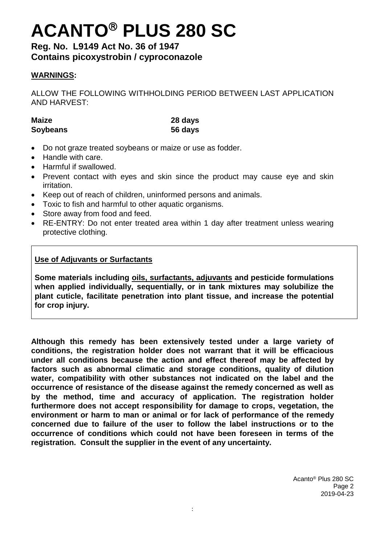# **ACANTO PLUS 280 SC**

**Reg. No. L9149 Act No. 36 of 1947 Contains picoxystrobin / cyproconazole**

### **WARNINGS:**

ALLOW THE FOLLOWING WITHHOLDING PERIOD BETWEEN LAST APPLICATION AND HARVEST:

**Maize 28 days Soybeans 56 days**

- Do not graze treated soybeans or maize or use as fodder.
- Handle with care.
- Harmful if swallowed.
- Prevent contact with eyes and skin since the product may cause eye and skin irritation.
- Keep out of reach of children, uninformed persons and animals.
- Toxic to fish and harmful to other aquatic organisms.
- Store away from food and feed.
- RE-ENTRY: Do not enter treated area within 1 day after treatment unless wearing protective clothing.

### **Use of Adjuvants or Surfactants**

**Some materials including oils, surfactants, adjuvants and pesticide formulations when applied individually, sequentially, or in tank mixtures may solubilize the plant cuticle, facilitate penetration into plant tissue, and increase the potential for crop injury.**

**Although this remedy has been extensively tested under a large variety of conditions, the registration holder does not warrant that it will be efficacious under all conditions because the action and effect thereof may be affected by factors such as abnormal climatic and storage conditions, quality of dilution water, compatibility with other substances not indicated on the label and the occurrence of resistance of the disease against the remedy concerned as well as by the method, time and accuracy of application. The registration holder furthermore does not accept responsibility for damage to crops, vegetation, the environment or harm to man or animal or for lack of performance of the remedy concerned due to failure of the user to follow the label instructions or to the occurrence of conditions which could not have been foreseen in terms of the registration. Consult the supplier in the event of any uncertainty.**

> Acanto® Plus 280 SC Page 2 2019-04-23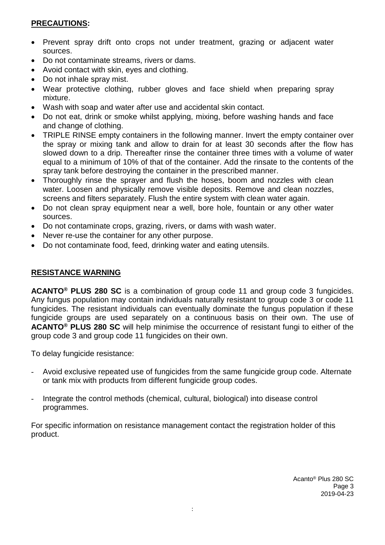### **PRECAUTIONS:**

- Prevent spray drift onto crops not under treatment, grazing or adjacent water sources.
- Do not contaminate streams, rivers or dams.
- Avoid contact with skin, eyes and clothing.
- Do not inhale spray mist.
- Wear protective clothing, rubber gloves and face shield when preparing spray mixture.
- Wash with soap and water after use and accidental skin contact.
- Do not eat, drink or smoke whilst applying, mixing, before washing hands and face and change of clothing.
- TRIPLE RINSE empty containers in the following manner. Invert the empty container over the spray or mixing tank and allow to drain for at least 30 seconds after the flow has slowed down to a drip. Thereafter rinse the container three times with a volume of water equal to a minimum of 10% of that of the container. Add the rinsate to the contents of the spray tank before destroying the container in the prescribed manner.
- Thoroughly rinse the sprayer and flush the hoses, boom and nozzles with clean water. Loosen and physically remove visible deposits. Remove and clean nozzles, screens and filters separately. Flush the entire system with clean water again.
- Do not clean spray equipment near a well, bore hole, fountain or any other water sources.
- Do not contaminate crops, grazing, rivers, or dams with wash water.
- Never re-use the container for any other purpose.
- Do not contaminate food, feed, drinking water and eating utensils.

### **RESISTANCE WARNING**

**ACANTO® PLUS 280 SC** is a combination of group code 11 and group code 3 fungicides. Any fungus population may contain individuals naturally resistant to group code 3 or code 11 fungicides. The resistant individuals can eventually dominate the fungus population if these fungicide groups are used separately on a continuous basis on their own. The use of **ACANTO® PLUS 280 SC** will help minimise the occurrence of resistant fungi to either of the group code 3 and group code 11 fungicides on their own.

To delay fungicide resistance:

- Avoid exclusive repeated use of fungicides from the same fungicide group code. Alternate or tank mix with products from different fungicide group codes.
- Integrate the control methods (chemical, cultural, biological) into disease control programmes.

For specific information on resistance management contact the registration holder of this product.

> Acanto® Plus 280 SC Page 3 2019-04-23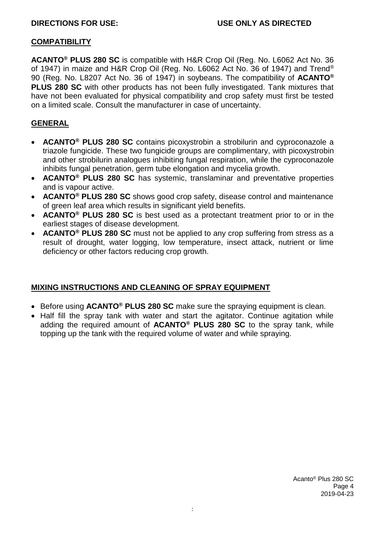#### **COMPATIBILITY**

**ACANTO® PLUS 280 SC** is compatible with H&R Crop Oil (Reg. No. L6062 Act No. 36 of 1947) in maize and H&R Crop Oil (Reg. No. L6062 Act No. 36 of 1947) and Trend® 90 (Reg. No. L8207 Act No. 36 of 1947) in soybeans. The compatibility of **ACANTO® PLUS 280 SC** with other products has not been fully investigated. Tank mixtures that have not been evaluated for physical compatibility and crop safety must first be tested on a limited scale. Consult the manufacturer in case of uncertainty.

### **GENERAL**

- **ACANTO® PLUS 280 SC** contains picoxystrobin a strobilurin and cyproconazole a triazole fungicide. These two fungicide groups are complimentary, with picoxystrobin and other strobilurin analogues inhibiting fungal respiration, while the cyproconazole inhibits fungal penetration, germ tube elongation and mycelia growth.
- **ACANTO® PLUS 280 SC** has systemic, translaminar and preventative properties and is vapour active.
- **ACANTO® PLUS 280 SC** shows good crop safety, disease control and maintenance of green leaf area which results in significant yield benefits.
- **ACANTO® PLUS 280 SC** is best used as a protectant treatment prior to or in the earliest stages of disease development.
- **ACANTO® PLUS 280 SC** must not be applied to any crop suffering from stress as a result of drought, water logging, low temperature, insect attack, nutrient or lime deficiency or other factors reducing crop growth.

### **MIXING INSTRUCTIONS AND CLEANING OF SPRAY EQUIPMENT**

- Before using **ACANTO® PLUS 280 SC** make sure the spraying equipment is clean.
- Half fill the spray tank with water and start the agitator. Continue agitation while adding the required amount of **ACANTO® PLUS 280 SC** to the spray tank, while topping up the tank with the required volume of water and while spraying.

Acanto® Plus 280 SC Page 4 2019-04-23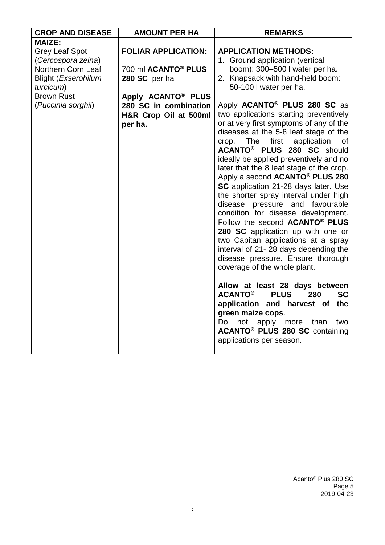| <b>CROP AND DISEASE</b>    | <b>AMOUNT PER HA</b>                  | <b>REMARKS</b>                                                              |
|----------------------------|---------------------------------------|-----------------------------------------------------------------------------|
| <b>MAIZE:</b>              |                                       |                                                                             |
| <b>Grey Leaf Spot</b>      | <b>FOLIAR APPLICATION:</b>            | <b>APPLICATION METHODS:</b>                                                 |
| (Cercospora zeina)         |                                       | 1. Ground application (vertical                                             |
| Northern Corn Leaf         | 700 ml <b>ACANTO<sup>®</sup> PLUS</b> | boom): 300-500 I water per ha.                                              |
| <b>Blight (Exserohilum</b> | 280 SC per ha                         | 2. Knapsack with hand-held boom:                                            |
| turcicum)                  |                                       | 50-100 I water per ha.                                                      |
| <b>Brown Rust</b>          | Apply ACANTO <sup>®</sup> PLUS        |                                                                             |
| (Puccinia sorghii)         | 280 SC in combination                 | Apply ACANTO <sup>®</sup> PLUS 280 SC as                                    |
|                            | H&R Crop Oil at 500ml                 | two applications starting preventively                                      |
|                            | per ha.                               | or at very first symptoms of any of the                                     |
|                            |                                       | diseases at the 5-8 leaf stage of the                                       |
|                            |                                       | application<br>The<br>first<br>crop.<br>0f                                  |
|                            |                                       | ACANTO <sup>®</sup> PLUS 280 SC should                                      |
|                            |                                       | ideally be applied preventively and no                                      |
|                            |                                       | later that the 8 leaf stage of the crop.                                    |
|                            |                                       | Apply a second <b>ACANTO<sup>®</sup> PLUS 280</b>                           |
|                            |                                       | SC application 21-28 days later. Use                                        |
|                            |                                       | the shorter spray interval under high                                       |
|                            |                                       | disease pressure and favourable                                             |
|                            |                                       | condition for disease development.                                          |
|                            |                                       | Follow the second ACANTO® PLUS                                              |
|                            |                                       | 280 SC application up with one or                                           |
|                            |                                       | two Capitan applications at a spray<br>interval of 21-28 days depending the |
|                            |                                       | disease pressure. Ensure thorough                                           |
|                            |                                       | coverage of the whole plant.                                                |
|                            |                                       |                                                                             |
|                            |                                       | Allow at least 28 days between                                              |
|                            |                                       | <b>ACANTO®</b><br><b>PLUS</b><br><b>SC</b><br>280                           |
|                            |                                       | application and harvest of the                                              |
|                            |                                       | green maize cops.                                                           |
|                            |                                       | not apply<br>Do<br>more<br>than<br>two                                      |
|                            |                                       | <b>ACANTO<sup>®</sup> PLUS 280 SC</b> containing                            |
|                            |                                       | applications per season.                                                    |
|                            |                                       |                                                                             |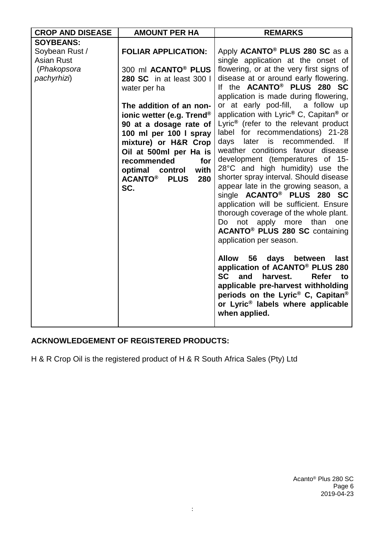| <b>CROP AND DISEASE</b> | <b>AMOUNT PER HA</b>                 | <b>REMARKS</b>                                                                 |
|-------------------------|--------------------------------------|--------------------------------------------------------------------------------|
| <b>SOYBEANS:</b>        |                                      |                                                                                |
| Soybean Rust /          | <b>FOLIAR APPLICATION:</b>           | Apply ACANTO <sup>®</sup> PLUS 280 SC as a                                     |
| <b>Asian Rust</b>       |                                      | single application at the onset of                                             |
| (Phakopsora             | 300 ml ACANTO <sup>®</sup> PLUS      | flowering, or at the very first signs of                                       |
| pachyrhizi)             | 280 SC in at least 300 l             | disease at or around early flowering.                                          |
|                         | water per ha                         | If the ACANTO <sup>®</sup> PLUS 280 SC                                         |
|                         |                                      | application is made during flowering,                                          |
|                         | The addition of an non-              | or at early pod-fill, a follow up                                              |
|                         | ionic wetter (e.g. Trend®            | application with Lyric® C, Capitan® or                                         |
|                         | 90 at a dosage rate of               | Lyric <sup>®</sup> (refer to the relevant product                              |
|                         | 100 ml per 100 l spray               | label for recommendations) 21-28                                               |
|                         | mixture) or H&R Crop                 | days later is recommended. If                                                  |
|                         | Oil at 500ml per Ha is               | weather conditions favour disease                                              |
|                         | recommended<br>for                   | development (temperatures of 15-                                               |
|                         | with<br>optimal<br>control           | 28°C and high humidity) use the                                                |
|                         | <b>ACANTO®</b><br><b>PLUS</b><br>280 | shorter spray interval. Should disease                                         |
|                         | SC.                                  | appear late in the growing season, a<br>single ACANTO <sup>®</sup> PLUS 280 SC |
|                         |                                      | application will be sufficient. Ensure                                         |
|                         |                                      | thorough coverage of the whole plant.                                          |
|                         |                                      | Do not apply more than one                                                     |
|                         |                                      | <b>ACANTO<sup>®</sup> PLUS 280 SC</b> containing                               |
|                         |                                      | application per season.                                                        |
|                         |                                      |                                                                                |
|                         |                                      | 56<br><b>Allow</b><br>days<br>between<br>last                                  |
|                         |                                      | application of ACANTO® PLUS 280                                                |
|                         |                                      | <b>SC</b><br>harvest.<br><b>Refer</b><br>and<br>to                             |
|                         |                                      | applicable pre-harvest withholding                                             |
|                         |                                      | periods on the Lyric <sup>®</sup> C, Capitan <sup>®</sup>                      |
|                         |                                      | or Lyric <sup>®</sup> labels where applicable                                  |
|                         |                                      | when applied.                                                                  |
|                         |                                      |                                                                                |

## **ACKNOWLEDGEMENT OF REGISTERED PRODUCTS:**

H & R Crop Oil is the registered product of H & R South Africa Sales (Pty) Ltd

Acanto® Plus 280 SC Page 6 2019-04-23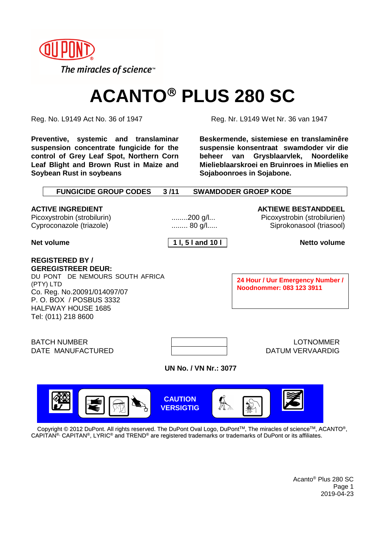

# **ACANTO<sup>®</sup> PLUS 280 SC**

**Preventive, systemic and translaminar suspension concentrate fungicide for the control of Grey Leaf Spot, Northern Corn Leaf Blight and Brown Rust in Maize and Soybean Rust in soybeans**

Reg. No. L9149 Act No. 36 of 1947 Reg. Nr. L9149 Wet Nr. 36 van 1947

**Beskermende, sistemiese en translaminêre suspensie konsentraat swamdoder vir die beheer van Grysblaarvlek, Noordelike Mielieblaarskroei en Bruinroes in Mielies en Sojaboonroes in Sojabone.**

| <b>FUNGICIDE GROUP CODES</b>                                                                                                                                                              | 3/11                                           | <b>SWAMDODER GROEP KODE</b>                                                                                   |
|-------------------------------------------------------------------------------------------------------------------------------------------------------------------------------------------|------------------------------------------------|---------------------------------------------------------------------------------------------------------------|
| <b>ACTIVE INGREDIENT</b><br>Picoxystrobin (strobilurin)<br>Cyproconazole (triazole)<br>Net volume                                                                                         | $200$ g/l<br>$\ldots$ 80 g/l<br>11, 51 and 101 | <b>AKTIEWE BESTANDDEEL</b><br>Picoxystrobin (strobilurien)<br>Siprokonasool (triasool)<br><b>Netto volume</b> |
| <b>REGISTERED BY/</b><br><b>GEREGISTREER DEUR:</b><br>DU PONT DE NEMOURS SOUTH AFRICA<br>(PTY) LTD<br>Co. Reg. No.20091/014097/07<br>P. O. BOX / POSBUS 3332<br><b>HALFWAY HOUSE 1685</b> |                                                | 24 Hour / Uur Emergency Number /<br>Noodnommer: 083 123 3911                                                  |
| Tel: (011) 218 8600<br><b>BATCH NUMBER</b><br>DATE MANUFACTURED                                                                                                                           | <b>UN No. / VN Nr.: 3077</b>                   | <b>LOTNOMMER</b><br>DATUM VERVAARDIG                                                                          |
| Copyright © 2012 DuPont. All rights reserved. The DuPont Oval Logo, DuPont™, The miracles of science™, ACANTO®,                                                                           | <b>CAUTION</b><br><b>VERSIGTIG</b>             |                                                                                                               |

 $\mathsf{CAPITAN}^{\otimes}\mathsf{CAPITAN}^{\otimes}, \mathsf{LYRIC}^{\otimes}$  and  $\mathsf{TREND}^{\otimes}$  are registered trademarks or trademarks of DuPont or its affiliates.

Acanto® Plus 280 SC Page 1 2019-04-23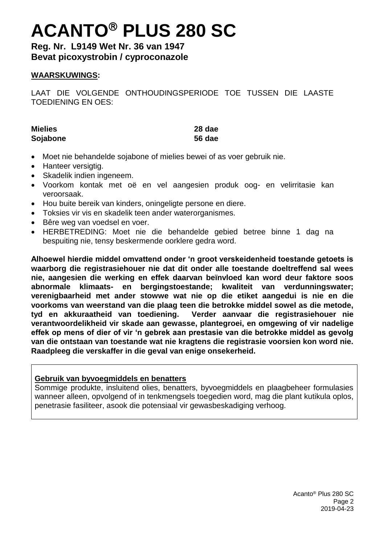# **ACANTO PLUS 280 SC**

**Reg. Nr. L9149 Wet Nr. 36 van 1947 Bevat picoxystrobin / cyproconazole**

### **WAARSKUWINGS:**

LAAT DIE VOLGENDE ONTHOUDINGSPERIODE TOE TUSSEN DIE LAASTE TOEDIENING EN OES:

| <b>Mielies</b> | 28 dae        |
|----------------|---------------|
| Sojabone       | <b>56 dae</b> |

- Moet nie behandelde sojabone of mielies bewei of as voer gebruik nie.
- Hanteer versigtig.
- Skadelik indien ingeneem.
- Voorkom kontak met oë en vel aangesien produk oog- en velirritasie kan veroorsaak.
- Hou buite bereik van kinders, oningeligte persone en diere.
- Toksies vir vis en skadelik teen ander waterorganismes.
- Bêre weg van voedsel en voer.
- HERBETREDING: Moet nie die behandelde gebied betree binne 1 dag na bespuiting nie, tensy beskermende oorklere gedra word.

**Alhoewel hierdie middel omvattend onder 'n groot verskeidenheid toestande getoets is waarborg die registrasiehouer nie dat dit onder alle toestande doeltreffend sal wees nie, aangesien die werking en effek daarvan beïnvloed kan word deur faktore soos abnormale klimaats- en bergingstoestande; kwaliteit van verdunningswater; verenigbaarheid met ander stowwe wat nie op die etiket aangedui is nie en die voorkoms van weerstand van die plaag teen die betrokke middel sowel as die metode, tyd en akkuraatheid van toediening. Verder aanvaar die registrasiehouer nie verantwoordelikheid vir skade aan gewasse, plantegroei, en omgewing of vir nadelige effek op mens of dier of vir 'n gebrek aan prestasie van die betrokke middel as gevolg van die ontstaan van toestande wat nie kragtens die registrasie voorsien kon word nie. Raadpleeg die verskaffer in die geval van enige onsekerheid.**

### **Gebruik van byvoegmiddels en benatters**

Sommige produkte, insluitend olies, benatters, byvoegmiddels en plaagbeheer formulasies wanneer alleen, opvolgend of in tenkmengsels toegedien word, mag die plant kutikula oplos, penetrasie fasiliteer, asook die potensiaal vir gewasbeskadiging verhoog.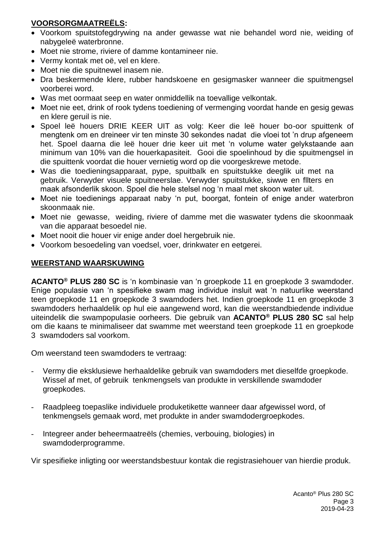## **VOORSORGMAATREËLS:**

- Voorkom spuitstofegdrywing na ander gewasse wat nie behandel word nie, weiding of nabygeleë waterbronne.
- Moet nie strome, riviere of damme kontamineer nie.
- Vermy kontak met oë, vel en klere.
- Moet nie die spuitnewel inasem nie.
- Dra beskermende klere, rubber handskoene en gesigmasker wanneer die spuitmengsel voorberei word.
- Was met oormaat seep en water onmiddellik na toevallige velkontak.
- Moet nie eet, drink of rook tydens toediening of vermenging voordat hande en gesig gewas en klere geruil is nie.
- Spoel leë houers DRIE KEER UIT as volg: Keer die leë houer bo-oor spuittenk of mengtenk om en dreineer vir ten minste 30 sekondes nadat die vloei tot 'n drup afgeneem het. Spoel daarna die leë houer drie keer uit met 'n volume water gelykstaande aan minimum van 10% van die houerkapasiteit. Gooi die spoelinhoud by die spuitmengsel in die spuittenk voordat die houer vernietig word op die voorgeskrewe metode.
- Was die toedieningsapparaat, pype, spuitbalk en spuitstukke deeglik uit met na gebruik. Verwyder visuele spuitneerslae. Verwyder spuitstukke, siwwe en fllters en maak afsonderlik skoon. Spoel die hele stelsel nog 'n maal met skoon water uit.
- Moet nie toedienings apparaat naby 'n put, boorgat, fontein of enige ander waterbron skoonmaak nie.
- Moet nie gewasse, weiding, riviere of damme met die waswater tydens die skoonmaak van die apparaat besoedel nie.
- Moet nooit die houer vir enige ander doel hergebruik nie.
- Voorkom besoedeling van voedsel, voer, drinkwater en eetgerei.

### **WEERSTAND WAARSKUWING**

**ACANTO® PLUS 280 SC** is 'n kombinasie van 'n groepkode 11 en groepkode 3 swamdoder. Enige populasie van 'n spesifieke swam mag individue insluit wat 'n natuurlike weerstand teen groepkode 11 en groepkode 3 swamdoders het. Indien groepkode 11 en groepkode 3 swamdoders herhaaldelik op hul eie aangewend word, kan die weerstandbiedende individue uiteindelik die swampopulasie oorheers. Die gebruik van **ACANTO® PLUS 280 SC** sal help om die kaans te minimaliseer dat swamme met weerstand teen groepkode 11 en groepkode 3 swamdoders sal voorkom.

Om weerstand teen swamdoders te vertraag:

- Vermy die eksklusiewe herhaaldelike gebruik van swamdoders met dieselfde groepkode. Wissel af met, of gebruik tenkmengsels van produkte in verskillende swamdoder groepkodes.
- Raadpleeg toepaslike individuele produketikette wanneer daar afgewissel word, of tenkmengsels gemaak word, met produkte in ander swamdodergroepkodes.
- Integreer ander beheermaatreëls (chemies, verbouing, biologies) in swamdoderprogramme.

Vir spesifieke inligting oor weerstandsbestuur kontak die registrasiehouer van hierdie produk.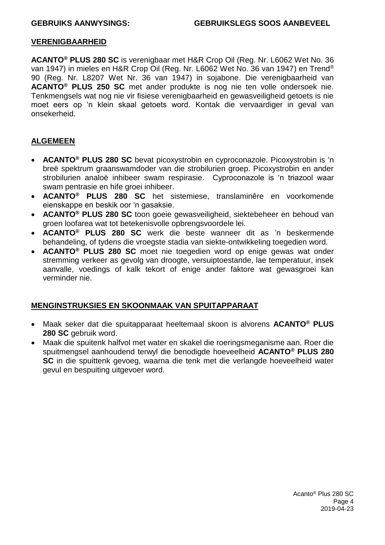#### **VERENIGBAARHEID**

**ACANTO® PLUS 280 SC** is verenigbaar met H&R Crop Oil (Reg. Nr. L6062 Wet No. 36 van 1947) in mieles en H&R Crop Oil (Reg. Nr. L6062 Wet No. 36 van 1947) en Trend® 90 (Reg. Nr. L8207 Wet Nr. 36 van 1947) in sojabone. Die verenigbaarheid van **ACANTO® PLUS 250 SC** met ander produkte is nog nie ten volle ondersoek nie. Tenkmengsels wat nog nie vir fisiese verenigbaarheid en gewasveiligheid getoets is nie moet eers op 'n klein skaal getoets word. Kontak die vervaardiger in geval van onsekerheid.

#### **ALGEMEEN**

- **ACANTO® PLUS 280 SC** bevat picoxystrobin en cyproconazole. Picoxystrobin is 'n breë spektrum graanswamdoder van die strobilurien groep. Picoxystrobin en ander strobilurien analoë inhibeer swam respirasie. Cyproconazole is 'n triazool waar swam pentrasie en hife groei inhibeer.
- **ACANTO® PLUS 280 SC** het sistemiese, translaminêre en voorkomende eienskappe en beskik oor 'n gasaksie.
- **ACANTO® PLUS 280 SC** toon goeie gewasveiligheid, siektebeheer en behoud van groen loofarea wat tot betekenisvolle opbrengsvoordele lei.
- **ACANTO® PLUS 280 SC** werk die beste wanneer dit as 'n beskermende behandeling, of tydens die vroegste stadia van siekte-ontwikkeling toegedien word.
- **ACANTO® PLUS 280 SC** moet nie toegedien word op enige gewas wat onder stremming verkeer as gevolg van droogte, versuiptoestande, lae temperatuur, insek aanvalle, voedings of kalk tekort of enige ander faktore wat gewasgroei kan verminder nie.

#### **MENGINSTRUKSIES EN SKOONMAAK VAN SPUITAPPARAAT**

- Maak seker dat die spuitapparaat heeltemaal skoon is alvorens **ACANTO® PLUS 280 SC** gebruik word.
- Maak die spuitenk halfvol met water en skakel die roeringsmeganisme aan. Roer die spuitmengsel aanhoudend terwyl die benodigde hoeveelheid **ACANTO® PLUS 280 SC** in die spuittenk gevoeg, waarna die tenk met die verlangde hoeveelheid water gevul en bespuiting uitgevoer word.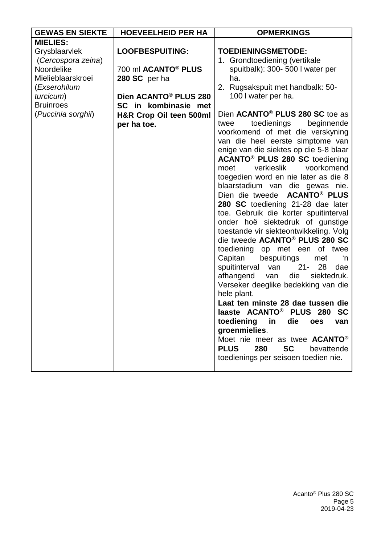| <b>GEWAS EN SIEKTE</b> | <b>HOEVEELHEID PER HA</b>         | <b>OPMERKINGS</b>                             |
|------------------------|-----------------------------------|-----------------------------------------------|
| <b>MIELIES:</b>        |                                   |                                               |
| Grysblaarvlek          | <b>LOOFBESPUITING:</b>            | <b>TOEDIENINGSMETODE:</b>                     |
| (Cercospora zeina)     |                                   | 1. Grondtoediening (vertikale                 |
| Noordelike             | 700 ml ACANTO <sup>®</sup> PLUS   | spuitbalk): 300- 500 I water per              |
| Mielieblaarskroei      | 280 SC per ha                     | ha.                                           |
| (Exserohilum           |                                   | 2. Rugsakspuit met handbalk: 50-              |
| turcicum)              | Dien ACANTO <sup>®</sup> PLUS 280 | 100 I water per ha.                           |
| <b>Bruinroes</b>       | SC in kombinasie met              |                                               |
| (Puccinia sorghii)     | H&R Crop Oil teen 500ml           | Dien ACANTO <sup>®</sup> PLUS 280 SC toe as   |
|                        | per ha toe.                       | toedienings<br>beginnende<br>twee             |
|                        |                                   | voorkomend of met die verskyning              |
|                        |                                   | van die heel eerste simptome van              |
|                        |                                   | enige van die siektes op die 5-8 blaar        |
|                        |                                   | ACANTO <sup>®</sup> PLUS 280 SC toediening    |
|                        |                                   | verkieslik<br>voorkomend<br>moet              |
|                        |                                   | toegedien word en nie later as die 8          |
|                        |                                   | blaarstadium van die gewas nie.               |
|                        |                                   | Dien die tweede ACANTO <sup>®</sup> PLUS      |
|                        |                                   | 280 SC toediening 21-28 dae later             |
|                        |                                   | toe. Gebruik die korter spuitinterval         |
|                        |                                   | onder hoë siektedruk of gunstige              |
|                        |                                   | toestande vir siekteontwikkeling. Volg        |
|                        |                                   | die tweede ACANTO <sup>®</sup> PLUS 280 SC    |
|                        |                                   | toediening op met een of twee                 |
|                        |                                   | Capitan<br>bespuitings<br>met<br>'n           |
|                        |                                   | spuitinterval<br>$21 -$<br>28<br>van<br>dae   |
|                        |                                   | afhangend<br>die<br>siektedruk.<br>van        |
|                        |                                   | Verseker deeglike bedekking van die           |
|                        |                                   | hele plant.                                   |
|                        |                                   | Laat ten minste 28 dae tussen die             |
|                        |                                   | laaste ACANTO <sup>®</sup> PLUS 280 SC        |
|                        |                                   | toediening<br>die<br><b>in</b><br>oes<br>van  |
|                        |                                   | groenmielies.                                 |
|                        |                                   | Moet nie meer as twee <b>ACANTO®</b>          |
|                        |                                   | <b>PLUS</b><br>280<br><b>SC</b><br>bevattende |
|                        |                                   | toedienings per seisoen toedien nie.          |
|                        |                                   |                                               |